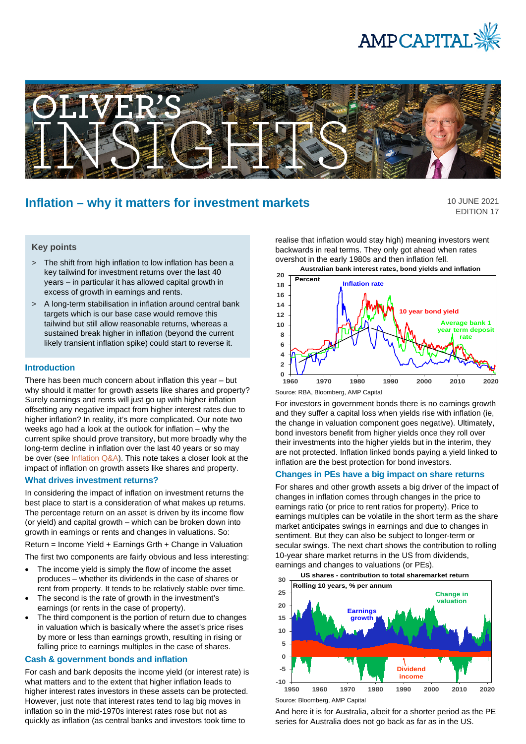



# **Inflation – why it matters for investment markets**

10 JUNE 2021 EDITION 17

# **Key points**

- > The shift from high inflation to low inflation has been a key tailwind for investment returns over the last 40 years – in particular it has allowed capital growth in excess of growth in earnings and rents.
- > A long-term stabilisation in inflation around central bank targets which is our base case would remove this tailwind but still allow reasonable returns, whereas a sustained break higher in inflation (beyond the current likely transient inflation spike) could start to reverse it.

### **Introduction**

There has been much concern about inflation this year – but why should it matter for growth assets like shares and property? Surely earnings and rents will just go up with higher inflation offsetting any negative impact from higher interest rates due to higher inflation? In reality, it's more complicated. Our note two weeks ago had a look at the outlook for inflation – why the current spike should prove transitory, but more broadly why the long-term decline in inflation over the last 40 years or so may be over (see [Inflation Q&A\)](https://www.ampcapital.com/au/en/insights-hub/articles/2021/may/inflation-q-and-a-should-we-be-worried-about-higher-inflation?csid=1012228073). This note takes a closer look at the impact of inflation on growth assets like shares and property.

# **What drives investment returns?**

In considering the impact of inflation on investment returns the best place to start is a consideration of what makes up returns. The percentage return on an asset is driven by its income flow (or yield) and capital growth – which can be broken down into growth in earnings or rents and changes in valuations. So:

Return = Income Yield + Earnings Grth + Change in Valuation

The first two components are fairly obvious and less interesting:

- The income yield is simply the flow of income the asset produces – whether its dividends in the case of shares or rent from property. It tends to be relatively stable over time.
- The second is the rate of growth in the investment's earnings (or rents in the case of property).
- The third component is the portion of return due to changes in valuation which is basically where the asset's price rises by more or less than earnings growth, resulting in rising or falling price to earnings multiples in the case of shares.

#### **Cash & government bonds and inflation**

For cash and bank deposits the income yield (or interest rate) is what matters and to the extent that higher inflation leads to higher interest rates investors in these assets can be protected. However, just note that interest rates tend to lag big moves in inflation so in the mid-1970s interest rates rose but not as quickly as inflation (as central banks and investors took time to

realise that inflation would stay high) meaning investors went backwards in real terms. They only got ahead when rates overshot in the early 1980s and then inflation fell. **Australian bank interest rates, bond yields and inflation**



For investors in government bonds there is no earnings growth and they suffer a capital loss when yields rise with inflation (ie, the change in valuation component goes negative). Ultimately, bond investors benefit from higher yields once they roll over their investments into the higher yields but in the interim, they are not protected. Inflation linked bonds paying a yield linked to inflation are the best protection for bond investors.

## **Changes in PEs have a big impact on share returns**

For shares and other growth assets a big driver of the impact of changes in inflation comes through changes in the price to earnings ratio (or price to rent ratios for property). Price to earnings multiples can be volatile in the short term as the share market anticipates swings in earnings and due to changes in sentiment. But they can also be subject to longer-term or secular swings. The next chart shows the contribution to rolling 10-year share market returns in the US from dividends, earnings and changes to valuations (or PEs).



And here it is for Australia, albeit for a shorter period as the PE series for Australia does not go back as far as in the US.